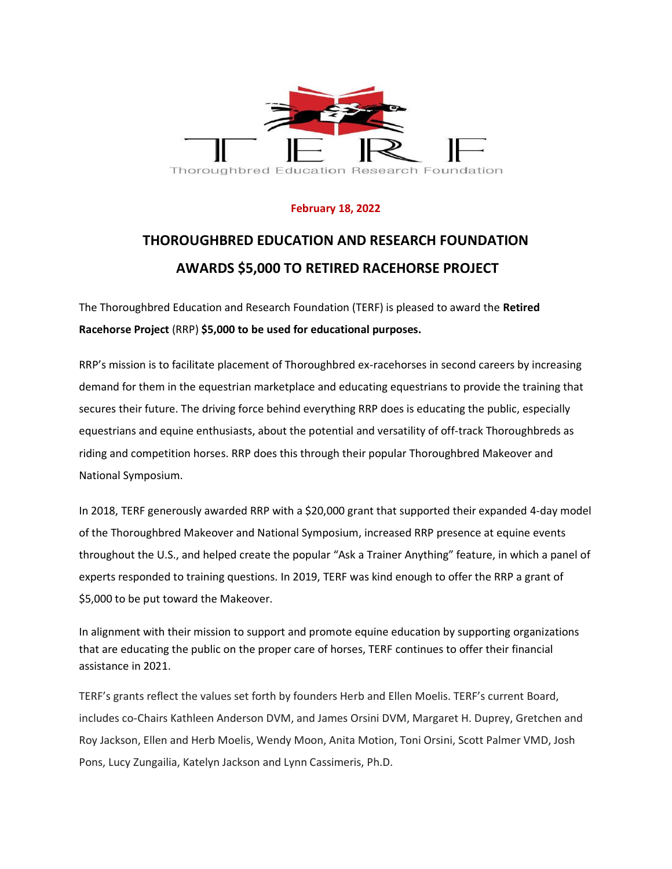

## **February 18, 2022**

## **THOROUGHBRED EDUCATION AND RESEARCH FOUNDATION AWARDS \$5,000 TO RETIRED RACEHORSE PROJECT**

The Thoroughbred Education and Research Foundation (TERF) is pleased to award the **Retired Racehorse Project** (RRP) **\$5,000 to be used for educational purposes.**

RRP's mission is to facilitate placement of Thoroughbred ex-racehorses in second careers by increasing demand for them in the equestrian marketplace and educating equestrians to provide the training that secures their future. The driving force behind everything RRP does is educating the public, especially equestrians and equine enthusiasts, about the potential and versatility of off-track Thoroughbreds as riding and competition horses. RRP does this through their popular Thoroughbred Makeover and National Symposium.

In 2018, TERF generously awarded RRP with a \$20,000 grant that supported their expanded 4-day model of the Thoroughbred Makeover and National Symposium, increased RRP presence at equine events throughout the U.S., and helped create the popular "Ask a Trainer Anything" feature, in which a panel of experts responded to training questions. In 2019, TERF was kind enough to offer the RRP a grant of \$5,000 to be put toward the Makeover.

In alignment with their mission to support and promote equine education by supporting organizations that are educating the public on the proper care of horses, TERF continues to offer their financial assistance in 2021.

TERF's grants reflect the values set forth by founders Herb and Ellen Moelis. TERF's current Board, includes co-Chairs Kathleen Anderson DVM, and James Orsini DVM, Margaret H. Duprey, Gretchen and Roy Jackson, Ellen and Herb Moelis, Wendy Moon, Anita Motion, Toni Orsini, Scott Palmer VMD, Josh Pons, Lucy Zungailia, Katelyn Jackson and Lynn Cassimeris, Ph.D.